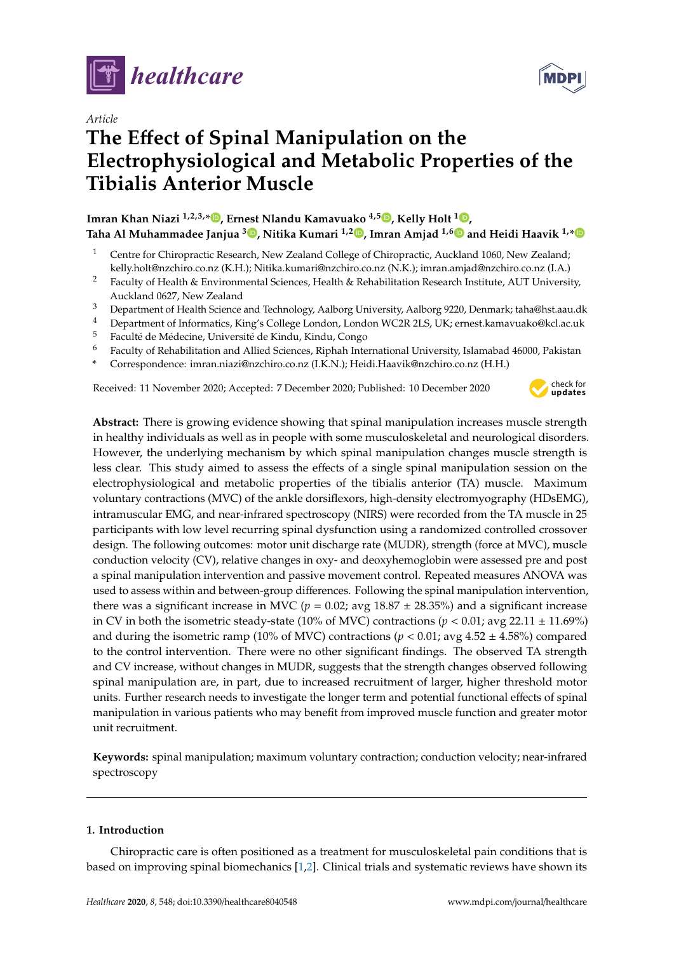

*Article*

# **The E**ff**ect of Spinal Manipulation on the Electrophysiological and Metabolic Properties of the Tibialis Anterior Muscle**

# **Imran Khan Niazi 1,2,3,\* [,](https://orcid.org/0000-0001-8752-7224) Ernest Nlandu Kamavuako 4,5 [,](https://orcid.org/0000-0001-6846-2090) Kelly Holt <sup>1</sup> [,](https://orcid.org/0000-0003-0046-7260)**

**Taha Al Muhammadee Janjua <sup>3</sup> [,](https://orcid.org/0000-0003-0815-2597) Nitika Kumari 1,2 [,](https://orcid.org/0000-0002-5135-1682) Imran Amjad 1,[6](https://orcid.org/0000-0002-2824-0079) and Heidi Haavik 1,[\\*](https://orcid.org/0000-0001-7182-2085)**

- <sup>1</sup> Centre for Chiropractic Research, New Zealand College of Chiropractic, Auckland 1060, New Zealand; kelly.holt@nzchiro.co.nz (K.H.); Nitika.kumari@nzchiro.co.nz (N.K.); imran.amjad@nzchiro.co.nz (I.A.)
- <sup>2</sup> Faculty of Health & Environmental Sciences, Health & Rehabilitation Research Institute, AUT University, Auckland 0627, New Zealand
- <sup>3</sup> Department of Health Science and Technology, Aalborg University, Aalborg 9220, Denmark; taha@hst.aau.dk
- <sup>4</sup> Department of Informatics, King's College London, London WC2R 2LS, UK; ernest.kamavuako@kcl.ac.uk
- <sup>5</sup> Faculté de Médecine, Université de Kindu, Kindu, Congo
- <sup>6</sup> Faculty of Rehabilitation and Allied Sciences, Riphah International University, Islamabad 46000, Pakistan
- **\*** Correspondence: imran.niazi@nzchiro.co.nz (I.K.N.); Heidi.Haavik@nzchiro.co.nz (H.H.)

Received: 11 November 2020; Accepted: 7 December 2020; Published: 10 December 2020



MDF

**Abstract:** There is growing evidence showing that spinal manipulation increases muscle strength in healthy individuals as well as in people with some musculoskeletal and neurological disorders. However, the underlying mechanism by which spinal manipulation changes muscle strength is less clear. This study aimed to assess the effects of a single spinal manipulation session on the electrophysiological and metabolic properties of the tibialis anterior (TA) muscle. Maximum voluntary contractions (MVC) of the ankle dorsiflexors, high-density electromyography (HDsEMG), intramuscular EMG, and near-infrared spectroscopy (NIRS) were recorded from the TA muscle in 25 participants with low level recurring spinal dysfunction using a randomized controlled crossover design. The following outcomes: motor unit discharge rate (MUDR), strength (force at MVC), muscle conduction velocity (CV), relative changes in oxy- and deoxyhemoglobin were assessed pre and post a spinal manipulation intervention and passive movement control. Repeated measures ANOVA was used to assess within and between-group differences. Following the spinal manipulation intervention, there was a significant increase in MVC ( $p = 0.02$ ; avg  $18.87 \pm 28.35$ %) and a significant increase in CV in both the isometric steady-state (10% of MVC) contractions ( $p < 0.01$ ; avg 22.11  $\pm$  11.69%) and during the isometric ramp (10% of MVC) contractions ( $p < 0.01$ ; avg  $4.52 \pm 4.58$ %) compared to the control intervention. There were no other significant findings. The observed TA strength and CV increase, without changes in MUDR, suggests that the strength changes observed following spinal manipulation are, in part, due to increased recruitment of larger, higher threshold motor units. Further research needs to investigate the longer term and potential functional effects of spinal manipulation in various patients who may benefit from improved muscle function and greater motor unit recruitment.

**Keywords:** spinal manipulation; maximum voluntary contraction; conduction velocity; near-infrared spectroscopy

# **1. Introduction**

Chiropractic care is often positioned as a treatment for musculoskeletal pain conditions that is based on improving spinal biomechanics [\[1,](#page-10-0)[2\]](#page-10-1). Clinical trials and systematic reviews have shown its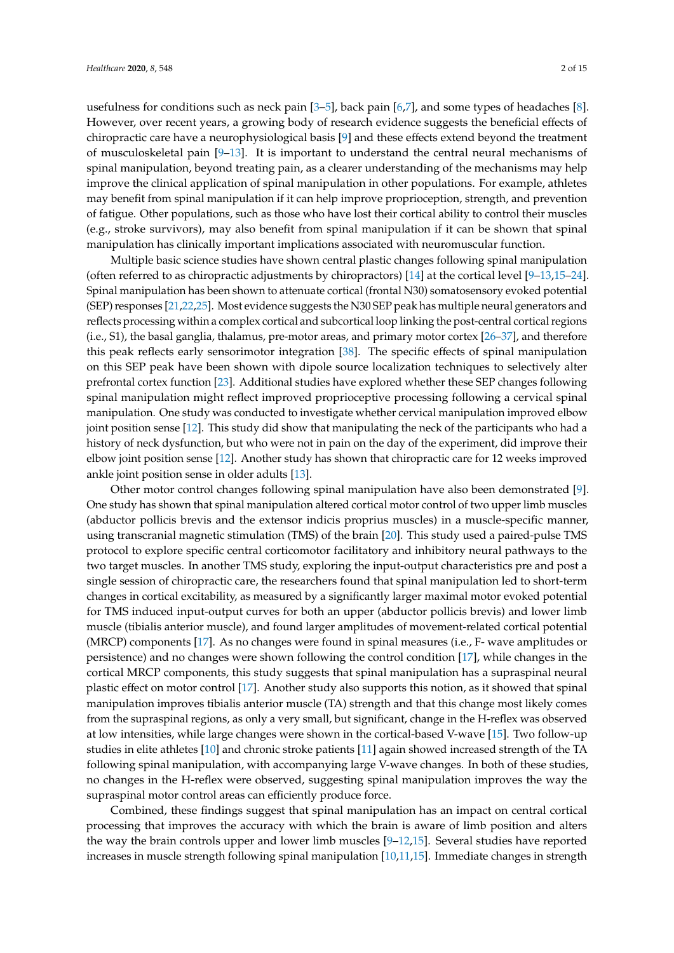usefulness for conditions such as neck pain [\[3](#page-10-2)[–5\]](#page-11-0), back pain [\[6,](#page-11-1)[7\]](#page-11-2), and some types of headaches [\[8\]](#page-11-3). However, over recent years, a growing body of research evidence suggests the beneficial effects of chiropractic care have a neurophysiological basis [\[9\]](#page-11-4) and these effects extend beyond the treatment of musculoskeletal pain [\[9–](#page-11-4)[13\]](#page-11-5). It is important to understand the central neural mechanisms of spinal manipulation, beyond treating pain, as a clearer understanding of the mechanisms may help improve the clinical application of spinal manipulation in other populations. For example, athletes may benefit from spinal manipulation if it can help improve proprioception, strength, and prevention of fatigue. Other populations, such as those who have lost their cortical ability to control their muscles (e.g., stroke survivors), may also benefit from spinal manipulation if it can be shown that spinal manipulation has clinically important implications associated with neuromuscular function.

Multiple basic science studies have shown central plastic changes following spinal manipulation (often referred to as chiropractic adjustments by chiropractors) [\[14\]](#page-11-6) at the cortical level [\[9](#page-11-4)[–13,](#page-11-5)[15–](#page-11-7)[24\]](#page-12-0). Spinal manipulation has been shown to attenuate cortical (frontal N30) somatosensory evoked potential (SEP) responses [\[21,](#page-11-8)[22](#page-11-9)[,25\]](#page-12-1). Most evidence suggests the N30 SEP peak has multiple neural generators and reflects processing within a complex cortical and subcortical loop linking the post-central cortical regions (i.e., S1), the basal ganglia, thalamus, pre-motor areas, and primary motor cortex [\[26–](#page-12-2)[37\]](#page-12-3), and therefore this peak reflects early sensorimotor integration [\[38\]](#page-12-4). The specific effects of spinal manipulation on this SEP peak have been shown with dipole source localization techniques to selectively alter prefrontal cortex function [\[23\]](#page-11-10). Additional studies have explored whether these SEP changes following spinal manipulation might reflect improved proprioceptive processing following a cervical spinal manipulation. One study was conducted to investigate whether cervical manipulation improved elbow joint position sense [\[12\]](#page-11-11). This study did show that manipulating the neck of the participants who had a history of neck dysfunction, but who were not in pain on the day of the experiment, did improve their elbow joint position sense [\[12\]](#page-11-11). Another study has shown that chiropractic care for 12 weeks improved ankle joint position sense in older adults [\[13\]](#page-11-5).

Other motor control changes following spinal manipulation have also been demonstrated [\[9\]](#page-11-4). One study has shown that spinal manipulation altered cortical motor control of two upper limb muscles (abductor pollicis brevis and the extensor indicis proprius muscles) in a muscle-specific manner, using transcranial magnetic stimulation (TMS) of the brain [\[20\]](#page-11-12). This study used a paired-pulse TMS protocol to explore specific central corticomotor facilitatory and inhibitory neural pathways to the two target muscles. In another TMS study, exploring the input-output characteristics pre and post a single session of chiropractic care, the researchers found that spinal manipulation led to short-term changes in cortical excitability, as measured by a significantly larger maximal motor evoked potential for TMS induced input-output curves for both an upper (abductor pollicis brevis) and lower limb muscle (tibialis anterior muscle), and found larger amplitudes of movement-related cortical potential (MRCP) components [\[17\]](#page-11-13). As no changes were found in spinal measures (i.e., F- wave amplitudes or persistence) and no changes were shown following the control condition [\[17\]](#page-11-13), while changes in the cortical MRCP components, this study suggests that spinal manipulation has a supraspinal neural plastic effect on motor control [\[17\]](#page-11-13). Another study also supports this notion, as it showed that spinal manipulation improves tibialis anterior muscle (TA) strength and that this change most likely comes from the supraspinal regions, as only a very small, but significant, change in the H-reflex was observed at low intensities, while large changes were shown in the cortical-based V-wave [\[15\]](#page-11-7). Two follow-up studies in elite athletes [\[10\]](#page-11-14) and chronic stroke patients [\[11\]](#page-11-15) again showed increased strength of the TA following spinal manipulation, with accompanying large V-wave changes. In both of these studies, no changes in the H-reflex were observed, suggesting spinal manipulation improves the way the supraspinal motor control areas can efficiently produce force.

Combined, these findings suggest that spinal manipulation has an impact on central cortical processing that improves the accuracy with which the brain is aware of limb position and alters the way the brain controls upper and lower limb muscles  $[9-12,15]$  $[9-12,15]$  $[9-12,15]$ . Several studies have reported increases in muscle strength following spinal manipulation [\[10,](#page-11-14)[11](#page-11-15)[,15\]](#page-11-7). Immediate changes in strength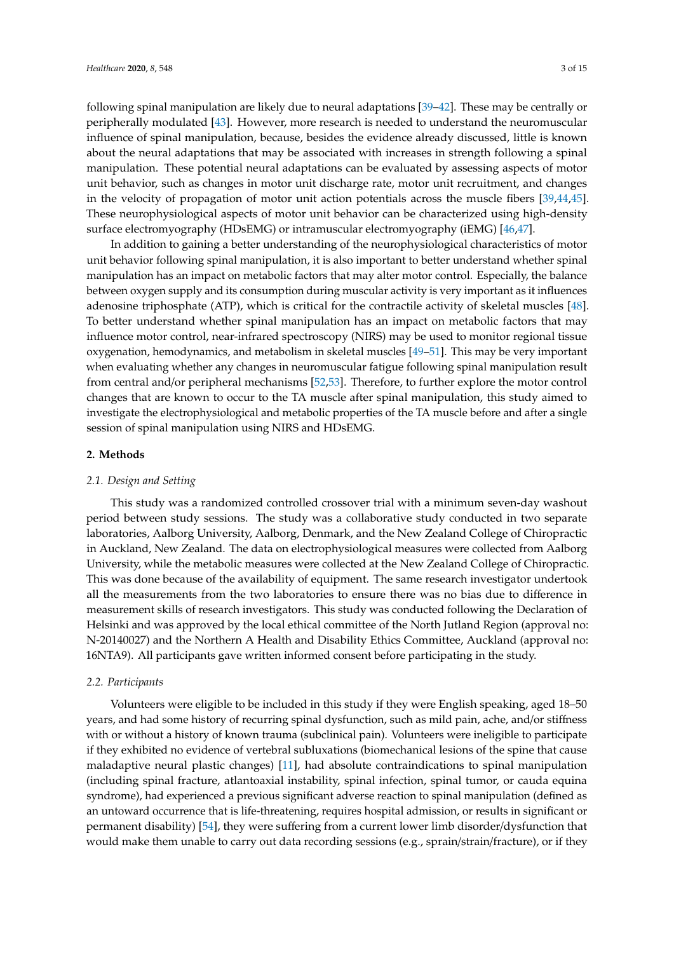following spinal manipulation are likely due to neural adaptations [\[39–](#page-12-5)[42\]](#page-12-6). These may be centrally or peripherally modulated [\[43\]](#page-12-7). However, more research is needed to understand the neuromuscular influence of spinal manipulation, because, besides the evidence already discussed, little is known about the neural adaptations that may be associated with increases in strength following a spinal manipulation. These potential neural adaptations can be evaluated by assessing aspects of motor unit behavior, such as changes in motor unit discharge rate, motor unit recruitment, and changes

in the velocity of propagation of motor unit action potentials across the muscle fibers [\[39,](#page-12-5)[44,](#page-13-0)[45\]](#page-13-1). These neurophysiological aspects of motor unit behavior can be characterized using high-density surface electromyography (HDsEMG) or intramuscular electromyography (iEMG) [\[46](#page-13-2)[,47\]](#page-13-3). In addition to gaining a better understanding of the neurophysiological characteristics of motor

unit behavior following spinal manipulation, it is also important to better understand whether spinal manipulation has an impact on metabolic factors that may alter motor control. Especially, the balance between oxygen supply and its consumption during muscular activity is very important as it influences adenosine triphosphate (ATP), which is critical for the contractile activity of skeletal muscles [\[48\]](#page-13-4). To better understand whether spinal manipulation has an impact on metabolic factors that may influence motor control, near-infrared spectroscopy (NIRS) may be used to monitor regional tissue oxygenation, hemodynamics, and metabolism in skeletal muscles [\[49](#page-13-5)[–51\]](#page-13-6). This may be very important when evaluating whether any changes in neuromuscular fatigue following spinal manipulation result from central and/or peripheral mechanisms [\[52](#page-13-7)[,53\]](#page-13-8). Therefore, to further explore the motor control changes that are known to occur to the TA muscle after spinal manipulation, this study aimed to investigate the electrophysiological and metabolic properties of the TA muscle before and after a single session of spinal manipulation using NIRS and HDsEMG.

### **2. Methods**

### *2.1. Design and Setting*

This study was a randomized controlled crossover trial with a minimum seven-day washout period between study sessions. The study was a collaborative study conducted in two separate laboratories, Aalborg University, Aalborg, Denmark, and the New Zealand College of Chiropractic in Auckland, New Zealand. The data on electrophysiological measures were collected from Aalborg University, while the metabolic measures were collected at the New Zealand College of Chiropractic. This was done because of the availability of equipment. The same research investigator undertook all the measurements from the two laboratories to ensure there was no bias due to difference in measurement skills of research investigators. This study was conducted following the Declaration of Helsinki and was approved by the local ethical committee of the North Jutland Region (approval no: N-20140027) and the Northern A Health and Disability Ethics Committee, Auckland (approval no: 16NTA9). All participants gave written informed consent before participating in the study.

# *2.2. Participants*

Volunteers were eligible to be included in this study if they were English speaking, aged 18–50 years, and had some history of recurring spinal dysfunction, such as mild pain, ache, and/or stiffness with or without a history of known trauma (subclinical pain). Volunteers were ineligible to participate if they exhibited no evidence of vertebral subluxations (biomechanical lesions of the spine that cause maladaptive neural plastic changes) [\[11\]](#page-11-15), had absolute contraindications to spinal manipulation (including spinal fracture, atlantoaxial instability, spinal infection, spinal tumor, or cauda equina syndrome), had experienced a previous significant adverse reaction to spinal manipulation (defined as an untoward occurrence that is life-threatening, requires hospital admission, or results in significant or permanent disability) [\[54\]](#page-13-9), they were suffering from a current lower limb disorder/dysfunction that would make them unable to carry out data recording sessions (e.g., sprain/strain/fracture), or if they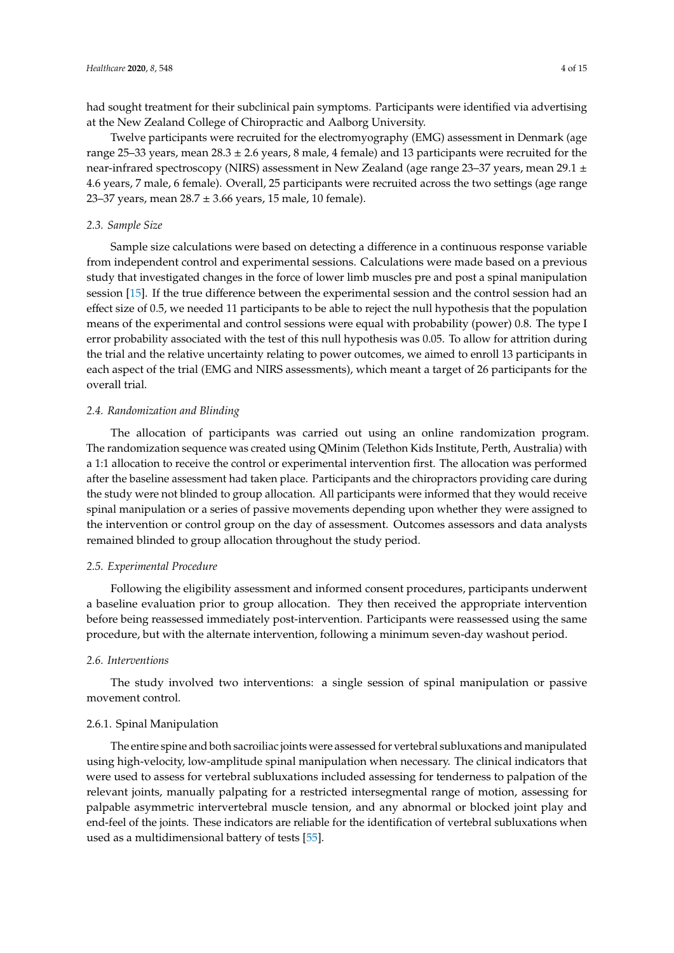had sought treatment for their subclinical pain symptoms. Participants were identified via advertising at the New Zealand College of Chiropractic and Aalborg University.

Twelve participants were recruited for the electromyography (EMG) assessment in Denmark (age range 25–33 years, mean 28.3 ± 2.6 years, 8 male, 4 female) and 13 participants were recruited for the near-infrared spectroscopy (NIRS) assessment in New Zealand (age range 23–37 years, mean 29.1 ± 4.6 years, 7 male, 6 female). Overall, 25 participants were recruited across the two settings (age range 23–37 years, mean  $28.7 \pm 3.66$  years, 15 male, 10 female).

# *2.3. Sample Size*

Sample size calculations were based on detecting a difference in a continuous response variable from independent control and experimental sessions. Calculations were made based on a previous study that investigated changes in the force of lower limb muscles pre and post a spinal manipulation session [\[15\]](#page-11-7). If the true difference between the experimental session and the control session had an effect size of 0.5, we needed 11 participants to be able to reject the null hypothesis that the population means of the experimental and control sessions were equal with probability (power) 0.8. The type I error probability associated with the test of this null hypothesis was 0.05. To allow for attrition during the trial and the relative uncertainty relating to power outcomes, we aimed to enroll 13 participants in each aspect of the trial (EMG and NIRS assessments), which meant a target of 26 participants for the overall trial.

# *2.4. Randomization and Blinding*

The allocation of participants was carried out using an online randomization program. The randomization sequence was created using QMinim (Telethon Kids Institute, Perth, Australia) with a 1:1 allocation to receive the control or experimental intervention first. The allocation was performed after the baseline assessment had taken place. Participants and the chiropractors providing care during the study were not blinded to group allocation. All participants were informed that they would receive spinal manipulation or a series of passive movements depending upon whether they were assigned to the intervention or control group on the day of assessment. Outcomes assessors and data analysts remained blinded to group allocation throughout the study period.

# *2.5. Experimental Procedure*

Following the eligibility assessment and informed consent procedures, participants underwent a baseline evaluation prior to group allocation. They then received the appropriate intervention before being reassessed immediately post-intervention. Participants were reassessed using the same procedure, but with the alternate intervention, following a minimum seven-day washout period.

# *2.6. Interventions*

The study involved two interventions: a single session of spinal manipulation or passive movement control.

# 2.6.1. Spinal Manipulation

The entire spine and both sacroiliac joints were assessed for vertebral subluxations and manipulated using high-velocity, low-amplitude spinal manipulation when necessary. The clinical indicators that were used to assess for vertebral subluxations included assessing for tenderness to palpation of the relevant joints, manually palpating for a restricted intersegmental range of motion, assessing for palpable asymmetric intervertebral muscle tension, and any abnormal or blocked joint play and end-feel of the joints. These indicators are reliable for the identification of vertebral subluxations when used as a multidimensional battery of tests [\[55\]](#page-13-10).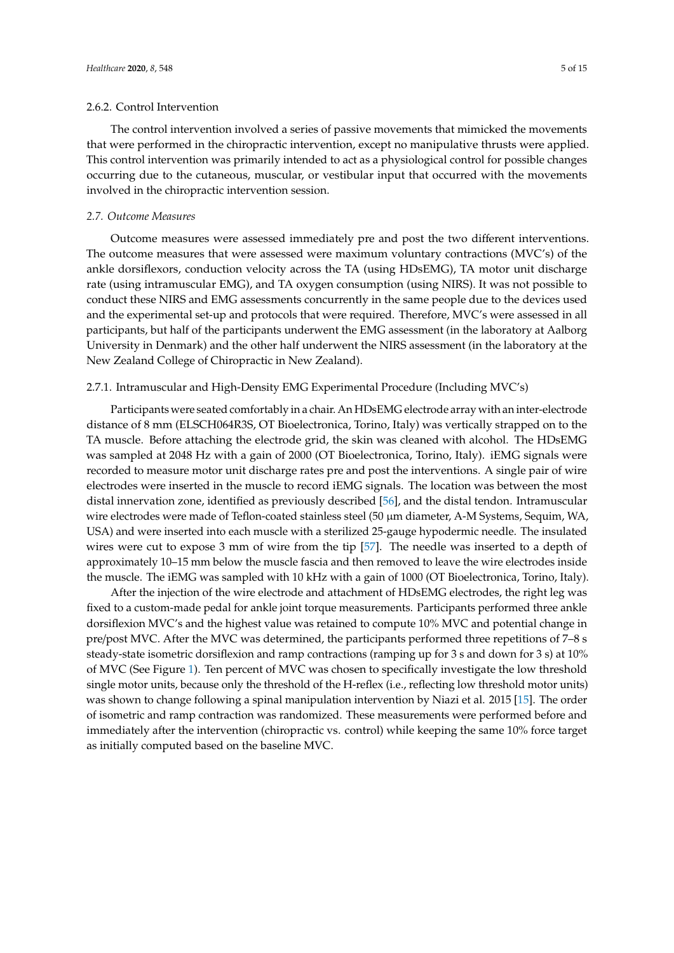The control intervention involved a series of passive movements that mimicked the movements that were performed in the chiropractic intervention, except no manipulative thrusts were applied. This control intervention was primarily intended to act as a physiological control for possible changes occurring due to the cutaneous, muscular, or vestibular input that occurred with the movements involved in the chiropractic intervention session.

# *2.7. Outcome Measures*

Outcome measures were assessed immediately pre and post the two different interventions. The outcome measures that were assessed were maximum voluntary contractions (MVC's) of the ankle dorsiflexors, conduction velocity across the TA (using HDsEMG), TA motor unit discharge rate (using intramuscular EMG), and TA oxygen consumption (using NIRS). It was not possible to conduct these NIRS and EMG assessments concurrently in the same people due to the devices used and the experimental set-up and protocols that were required. Therefore, MVC's were assessed in all participants, but half of the participants underwent the EMG assessment (in the laboratory at Aalborg University in Denmark) and the other half underwent the NIRS assessment (in the laboratory at the New Zealand College of Chiropractic in New Zealand).

### 2.7.1. Intramuscular and High-Density EMG Experimental Procedure (Including MVC's)

Participants were seated comfortably in a chair. An HDsEMG electrode array with an inter-electrode distance of 8 mm (ELSCH064R3S, OT Bioelectronica, Torino, Italy) was vertically strapped on to the TA muscle. Before attaching the electrode grid, the skin was cleaned with alcohol. The HDsEMG was sampled at 2048 Hz with a gain of 2000 (OT Bioelectronica, Torino, Italy). iEMG signals were recorded to measure motor unit discharge rates pre and post the interventions. A single pair of wire electrodes were inserted in the muscle to record iEMG signals. The location was between the most distal innervation zone, identified as previously described [\[56\]](#page-13-11), and the distal tendon. Intramuscular wire electrodes were made of Teflon-coated stainless steel (50 µm diameter, A-M Systems, Sequim, WA, USA) and were inserted into each muscle with a sterilized 25-gauge hypodermic needle. The insulated wires were cut to expose 3 mm of wire from the tip [\[57\]](#page-13-12). The needle was inserted to a depth of approximately 10–15 mm below the muscle fascia and then removed to leave the wire electrodes inside the muscle. The iEMG was sampled with 10 kHz with a gain of 1000 (OT Bioelectronica, Torino, Italy).

After the injection of the wire electrode and attachment of HDsEMG electrodes, the right leg was fixed to a custom-made pedal for ankle joint torque measurements. Participants performed three ankle dorsiflexion MVC's and the highest value was retained to compute 10% MVC and potential change in pre/post MVC. After the MVC was determined, the participants performed three repetitions of 7–8 s steady-state isometric dorsiflexion and ramp contractions (ramping up for 3 s and down for 3 s) at 10% of MVC (See Figure [1\)](#page-5-0). Ten percent of MVC was chosen to specifically investigate the low threshold single motor units, because only the threshold of the H-reflex (i.e., reflecting low threshold motor units) was shown to change following a spinal manipulation intervention by Niazi et al. 2015 [\[15\]](#page-11-7). The order of isometric and ramp contraction was randomized. These measurements were performed before and immediately after the intervention (chiropractic vs. control) while keeping the same 10% force target as initially computed based on the baseline MVC.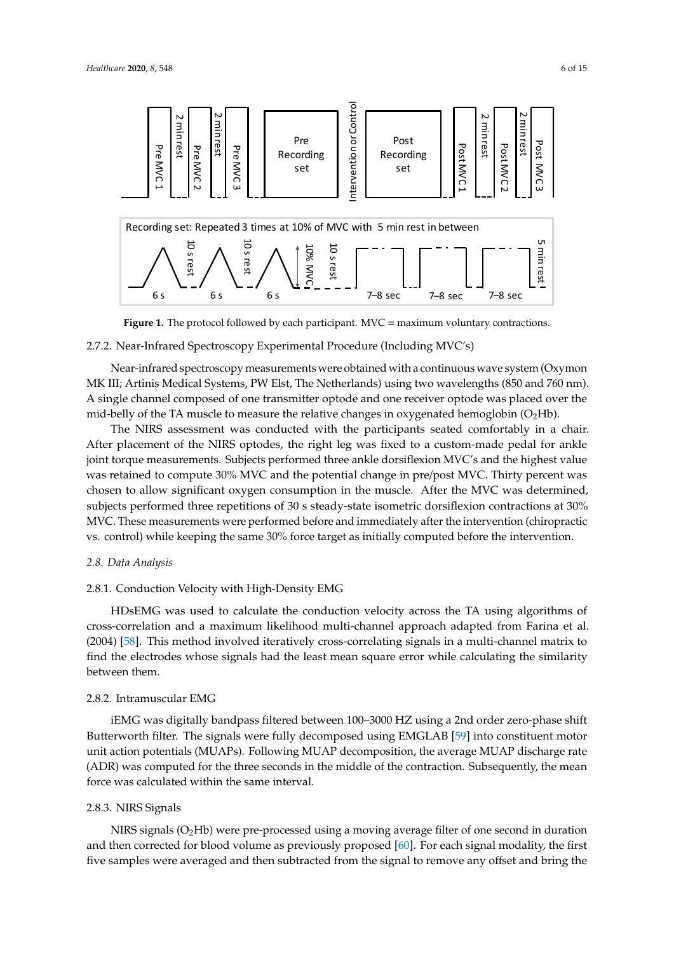<span id="page-5-0"></span>

**Figure 1.** The protocol followed by each participant. MVC = maximum voluntary contractions. **Figure 1.** The protocol followed by each participant. MVC = maximum voluntary contractions.

# 2.7.2. Near-Infrared Spectroscopy Experimental Procedure (Including MVC's) 2.7.2. Near-Infrared Spectroscopy Experimental Procedure (Including MVC's)

Near-infrared spectroscopy measurements were obtained with a continuous wave system Near-infrared spectroscopy measurements were obtained with a continuous wave system (Oxymon MK III; Artinis Medical Systems, PW Elst, The Netherlands) using two wavelengths (850 and 760 nm). A single channel composed of one transmitter optode and one receiver optode was placed over the mid-belly of the TA muscle to measure the relative changes in oxygenated hemoglobin (O<sub>2</sub>Hb).

The NIRS assessment was conducted with the participants seated comfortably in a chair. The NIRS assessment was conducted with the participants seated comfortably in a chair. After After placement of the NIRS optodes, the right leg was fixed to a custom-made pedal for ankle joint torque measurements. Subjects performed three ankle dorsiflexion MVC's and the highest value was retained to compute 30% MVC and the potential change in pre/post MVC. Thirty percent was chosen to allow significant oxygen consumption in the muscle. After the MVC was determined, subjects performed three repetitions of 30 s steady-state isometric dorsiflexion contractions at 30%  $\,$ MVC. These measurements were performed before and immediately after the intervention (chiropractic control) while keeping the same 30% force target as initially computed before the intervention. vs. control) while keeping the same 30% force target as initially computed before the intervention.

# *2.8. Data Analysis 2.8. Data Analysis*

# 2.8.1. Conduction Velocity with High-Density EMG 2.8.1. Conduction Velocity with High-Density EMG

HDsEMG was used to calculate the conduction velocity across the TA using algorithms of correlation and a maximum likelihood multi-channel approach and approach and from Farina et al. (2004) [58]. [58]. [58]. [58]. [58]. [58]. [58]. [58]. [58]. [58]. [58]. [58]. [58]. [58]. [58]. [58]. [58]. [58]. [58]. [58]. cross-correlation and a maximum likelihood multi-channel approach adapted from Farina et al. (2004) [\[58\]](#page-13-13). This method involved iteratively cross-correlating signals in a multi-channel matrix to find the electrodes whose signals had the least mean square error while calculating the similarity between them.

#### $\frac{1}{2}$  and  $\frac{1}{2}$  using a  $\frac{1}{2}$  using a  $\frac{1}{2}$  using a  $\frac{1}{2}$  using a  $\frac{1}{2}$  using  $\frac{1}{2}$  using  $\frac{1}{2}$  using  $\frac{1}{2}$  using  $\frac{1}{2}$  using  $\frac{1}{2}$  using  $\frac{1}{2}$  using  $\frac{1}{2}$  using  $\frac{1}{2$ 2.8.2. Intramuscular EMG

iEMG was digitally bandpass filtered between 100–3000 HZ using a 2nd order zero-phase shift Butterworth filter. The signals were fully decomposed using EMGLAB [\[59\]](#page-13-14) into constituent motor unit action potentials (MUAPs). Following MUAP decomposition, the average MUAP discharge rate (ADR) was computed for the three seconds in the middle of the contraction. Subsequently, the mean force was calculated within the same interval.

# 2.8.3. NIRS Signals

NIRS signals  $(O_2Hb)$  were pre-processed using a moving average filter of one second in duration and then corrected for blood volume as previously proposed [\[60\]](#page-13-15). For each signal modality, the first five samples were averaged and then subtracted from the signal to remove any offset and bring the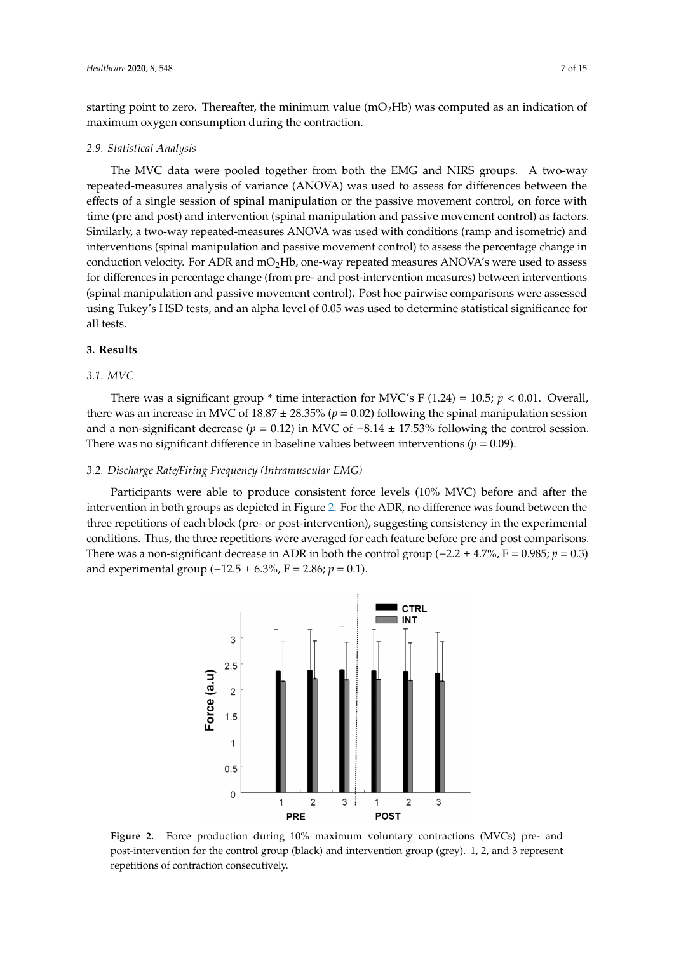starting point to zero. Thereafter, the minimum value  $(mO<sub>2</sub>Hb)$  was computed as an indication of maximum oxygen consumption during the contraction.

#### *2.9. Statistical Analysis*

The MVC data were pooled together from both the EMG and NIRS groups. A two-way repeated-measures analysis of variance (ANOVA) was used to assess for differences between the effects of a single session of spinal manipulation or the passive movement control, on force with time (pre and post) and intervention (spinal manipulation and passive movement control) as factors. Similarly, a two-way repeated-measures ANOVA was used with conditions (ramp and isometric) and interventions (spinal manipulation and passive movement control) to assess the percentage change in conduction velocity. For ADR and  $mO<sub>2</sub>Hb$ , one-way repeated measures ANOVA's were used to assess for differences in percentage change (from pre- and post-intervention measures) between interventions (spinal manipulation and passive movement control). Post hoc pairwise comparisons were assessed using Tukey's HSD tests, and an alpha level of 0.05 was used to determine statistical significance for all tests.

# **3. Results**

# *3.1. MVC*

There was a significant group  $*$  time interaction for MVC's F (1.24) = 10.5;  $p < 0.01$ . Overall, there was an increase in MVC of  $18.87 \pm 28.35\%$  ( $p = 0.02$ ) following the spinal manipulation session and a non-significant decrease ( $p = 0.12$ ) in MVC of  $-8.14 \pm 17.53\%$  following the control session. There was no significant difference in baseline values between interventions ( $p = 0.09$ ).

### *3.2. Discharge Rate*/*Firing Frequency (Intramuscular EMG)*

<span id="page-6-0"></span>Participants were able to produce consistent force levels (10% MVC) before and after the intervention in both groups as depicted in Figure [2.](#page-6-0) For the ADR, no difference was found between the three repetitions of each block (pre- or post-intervention), suggesting consistency in the experimental conditions. Thus, the three repetitions were averaged for each feature before pre and post comparisons. There was a non-significant decrease in ADR in both the control group ( $-2.2 \pm 4.7\%$ , F = 0.985; *p* = 0.3) and experimental group (−12.5 ± 6.3%, F = 2.86;  $p = 0.1$ ).

**CTRL** INT 3  $2.5$ Force (a.u)  $\overline{2}$  $1.5$  $\overline{1}$  $0.5$  $\Omega$  $\overline{2}$ 3  $\overline{2}$  $\mathcal{R}$  $\overline{1}$ **PRE POST** 

**Figure 2.** Force production during 10% maximum voluntary contractions (MVCs) pre- and intervention for the control group (black) and intervention group (grey). 1, 2, and 3 represent post-intervention for the control group (black) and intervention group (grey). 1, 2, and 3 represent repetitions of contraction consecutively. repetitions of contraction consecutively.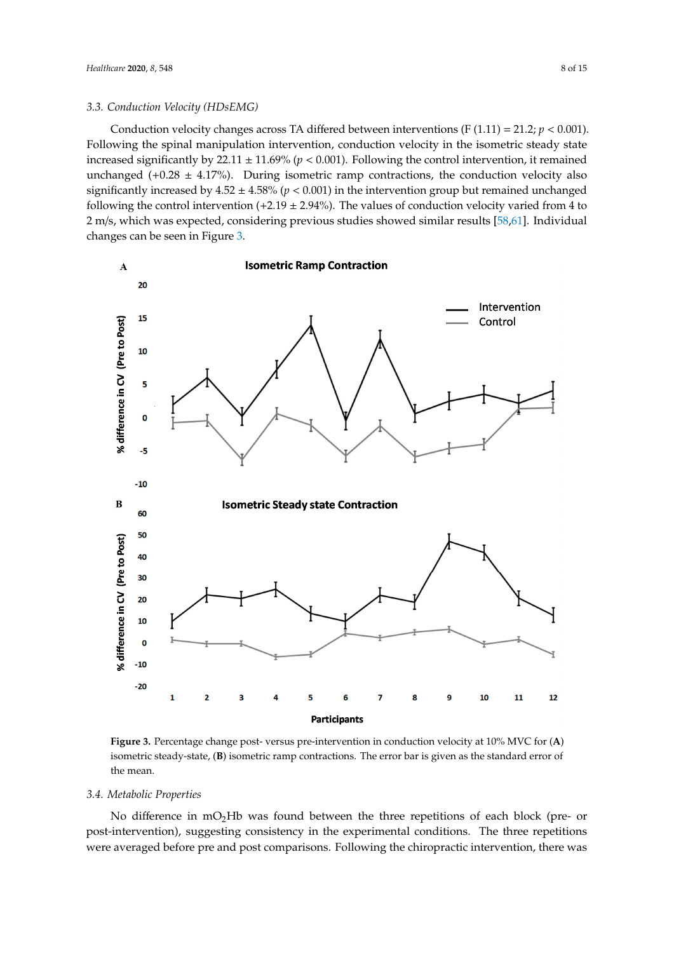Conduction velocity changes across TA differed between interventions (F  $(1.11) = 21.2; p < 0.001$ ). Following the spinal manipulation intervention, conduction velocity in the isometric steady state increased significantly by  $22.11 \pm 11.69\%$  ( $p < 0.001$ ). Following the control intervention, it remained unchanged (+0.28  $\pm$  4.17%). During isometric ramp contractions, the conduction velocity also significantly increased by  $4.52 \pm 4.58\%$  ( $p < 0.001$ ) in the intervention group but remained unchanged following the control intervention  $(+2.19 \pm 2.94\%)$ . The values of conduction velocity varied from 4 to 2 m/s, which was expected, considering previous studies showed similar results [\[58](#page-13-13)[,61\]](#page-13-16). Individual changes can be seen in Figure [3.](#page-7-0)

<span id="page-7-0"></span>

**Figure 3.** Percentage change post-versus pre-intervention in conduction velocity at  $10\%$  MVC for  $(A)$ isometric steady-state, (**B**) isometric ramp contractions. The error bar is given as the standard error of isometric steady-state, (**B**) isometric ramp contractions. The error bar is given as the standard error of the mean. the mean.

### *3.4. Metabolic Properties 3.4. Metabolic Properties*

post-intervention), suggesting consistency in the experimental conditions. The three repetitions  $\mu$  is a suggestion of the experimental constant  $\mu$  is the experimental conditions. The three repetitions were repetitions were repetitions were repetitions were repetitions. The three repetitions were repetitions were averaged before present post comparisons. For  $\frac{1}{2}$   $\frac{1}{3}$   $\frac{1}{3}$   $\frac{1}{3}$   $\frac{1}{3}$   $\frac{1}{3}$   $\frac{1}{3}$   $\frac{1}{3}$   $\frac{1}{2}$   $\frac{1}{3}$   $\frac{1}{2}$   $\frac{1}{3}$   $\frac{1}{2}$   $\frac{1}{3}$   $\frac{1}{2}$   $\frac{1}{2}$   $\frac{1}{3}$   $\frac{1$ No difference in  $mO<sub>2</sub>Hb$  was found between the three repetitions of each block (pre- or were averaged before pre and post comparisons. Following the chiropractic intervention, there was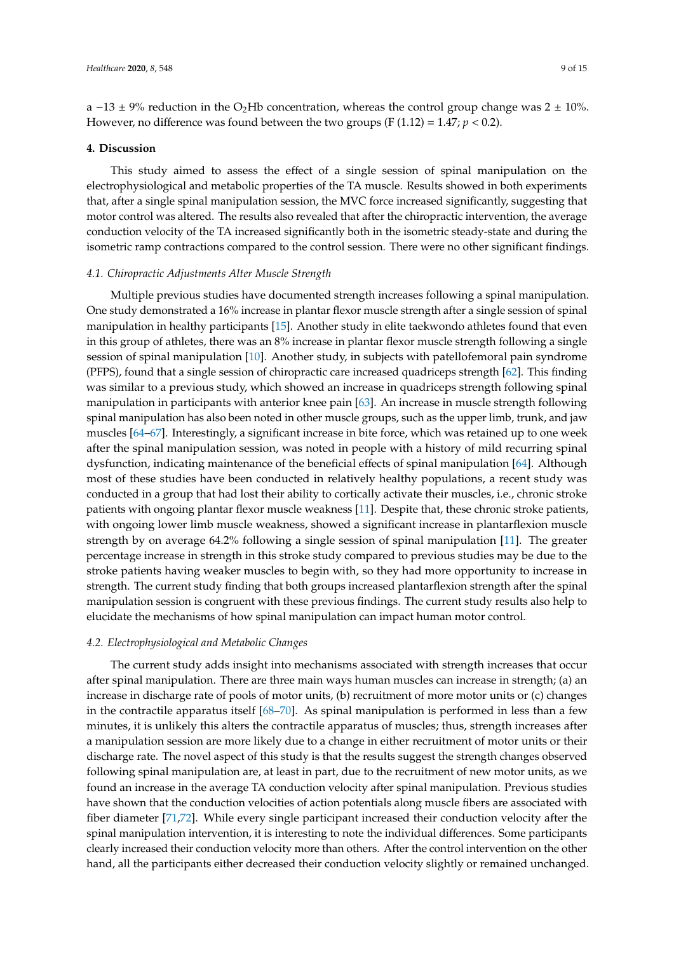a −13 ± 9% reduction in the O<sub>2</sub>Hb concentration, whereas the control group change was 2 ± 10%. However, no difference was found between the two groups (F  $(1.12) = 1.47$ ;  $p < 0.2$ ).

#### **4. Discussion**

This study aimed to assess the effect of a single session of spinal manipulation on the electrophysiological and metabolic properties of the TA muscle. Results showed in both experiments that, after a single spinal manipulation session, the MVC force increased significantly, suggesting that motor control was altered. The results also revealed that after the chiropractic intervention, the average conduction velocity of the TA increased significantly both in the isometric steady-state and during the isometric ramp contractions compared to the control session. There were no other significant findings.

# *4.1. Chiropractic Adjustments Alter Muscle Strength*

Multiple previous studies have documented strength increases following a spinal manipulation. One study demonstrated a 16% increase in plantar flexor muscle strength after a single session of spinal manipulation in healthy participants [\[15\]](#page-11-7). Another study in elite taekwondo athletes found that even in this group of athletes, there was an 8% increase in plantar flexor muscle strength following a single session of spinal manipulation [\[10\]](#page-11-14). Another study, in subjects with patellofemoral pain syndrome (PFPS), found that a single session of chiropractic care increased quadriceps strength [\[62\]](#page-13-17). This finding was similar to a previous study, which showed an increase in quadriceps strength following spinal manipulation in participants with anterior knee pain [\[63\]](#page-13-18). An increase in muscle strength following spinal manipulation has also been noted in other muscle groups, such as the upper limb, trunk, and jaw muscles [\[64–](#page-13-19)[67\]](#page-14-0). Interestingly, a significant increase in bite force, which was retained up to one week after the spinal manipulation session, was noted in people with a history of mild recurring spinal dysfunction, indicating maintenance of the beneficial effects of spinal manipulation [\[64\]](#page-13-19). Although most of these studies have been conducted in relatively healthy populations, a recent study was conducted in a group that had lost their ability to cortically activate their muscles, i.e., chronic stroke patients with ongoing plantar flexor muscle weakness [\[11\]](#page-11-15). Despite that, these chronic stroke patients, with ongoing lower limb muscle weakness, showed a significant increase in plantarflexion muscle strength by on average 64.2% following a single session of spinal manipulation [\[11\]](#page-11-15). The greater percentage increase in strength in this stroke study compared to previous studies may be due to the stroke patients having weaker muscles to begin with, so they had more opportunity to increase in strength. The current study finding that both groups increased plantarflexion strength after the spinal manipulation session is congruent with these previous findings. The current study results also help to elucidate the mechanisms of how spinal manipulation can impact human motor control.

### *4.2. Electrophysiological and Metabolic Changes*

The current study adds insight into mechanisms associated with strength increases that occur after spinal manipulation. There are three main ways human muscles can increase in strength; (a) an increase in discharge rate of pools of motor units, (b) recruitment of more motor units or (c) changes in the contractile apparatus itself  $[68–70]$  $[68–70]$ . As spinal manipulation is performed in less than a few minutes, it is unlikely this alters the contractile apparatus of muscles; thus, strength increases after a manipulation session are more likely due to a change in either recruitment of motor units or their discharge rate. The novel aspect of this study is that the results suggest the strength changes observed following spinal manipulation are, at least in part, due to the recruitment of new motor units, as we found an increase in the average TA conduction velocity after spinal manipulation. Previous studies have shown that the conduction velocities of action potentials along muscle fibers are associated with fiber diameter [\[71,](#page-14-3)[72\]](#page-14-4). While every single participant increased their conduction velocity after the spinal manipulation intervention, it is interesting to note the individual differences. Some participants clearly increased their conduction velocity more than others. After the control intervention on the other hand, all the participants either decreased their conduction velocity slightly or remained unchanged.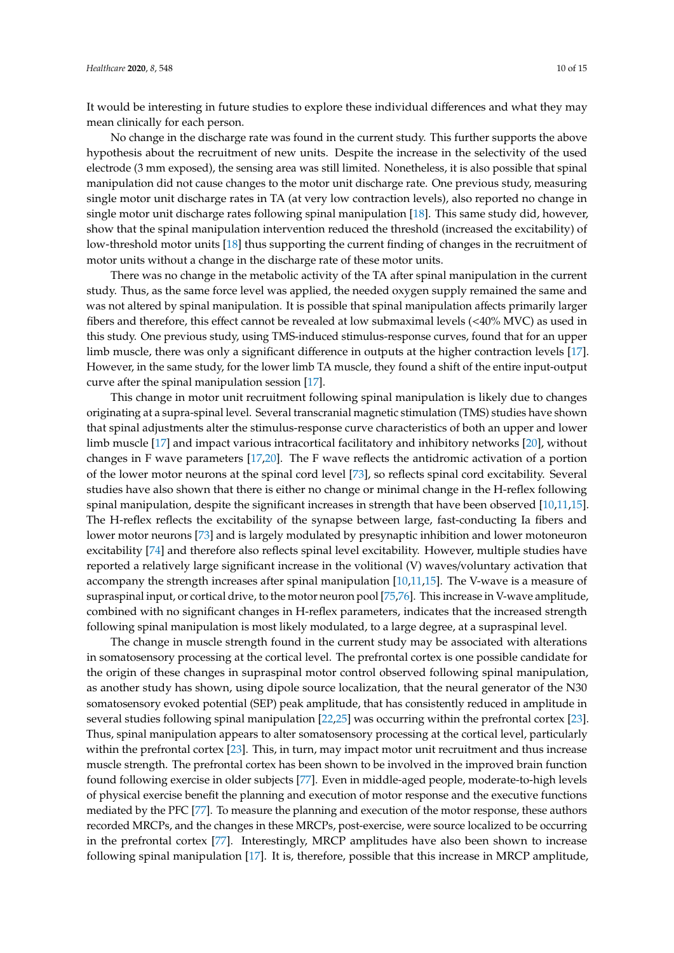It would be interesting in future studies to explore these individual differences and what they may mean clinically for each person.

No change in the discharge rate was found in the current study. This further supports the above hypothesis about the recruitment of new units. Despite the increase in the selectivity of the used electrode (3 mm exposed), the sensing area was still limited. Nonetheless, it is also possible that spinal manipulation did not cause changes to the motor unit discharge rate. One previous study, measuring single motor unit discharge rates in TA (at very low contraction levels), also reported no change in single motor unit discharge rates following spinal manipulation [\[18\]](#page-11-16). This same study did, however, show that the spinal manipulation intervention reduced the threshold (increased the excitability) of low-threshold motor units [\[18\]](#page-11-16) thus supporting the current finding of changes in the recruitment of motor units without a change in the discharge rate of these motor units.

There was no change in the metabolic activity of the TA after spinal manipulation in the current study. Thus, as the same force level was applied, the needed oxygen supply remained the same and was not altered by spinal manipulation. It is possible that spinal manipulation affects primarily larger fibers and therefore, this effect cannot be revealed at low submaximal levels (<40% MVC) as used in this study. One previous study, using TMS-induced stimulus-response curves, found that for an upper limb muscle, there was only a significant difference in outputs at the higher contraction levels [\[17\]](#page-11-13). However, in the same study, for the lower limb TA muscle, they found a shift of the entire input-output curve after the spinal manipulation session [\[17\]](#page-11-13).

This change in motor unit recruitment following spinal manipulation is likely due to changes originating at a supra-spinal level. Several transcranial magnetic stimulation (TMS) studies have shown that spinal adjustments alter the stimulus-response curve characteristics of both an upper and lower limb muscle [\[17\]](#page-11-13) and impact various intracortical facilitatory and inhibitory networks [\[20\]](#page-11-12), without changes in F wave parameters [\[17,](#page-11-13)[20\]](#page-11-12). The F wave reflects the antidromic activation of a portion of the lower motor neurons at the spinal cord level [\[73\]](#page-14-5), so reflects spinal cord excitability. Several studies have also shown that there is either no change or minimal change in the H-reflex following spinal manipulation, despite the significant increases in strength that have been observed [\[10,](#page-11-14)[11,](#page-11-15)[15\]](#page-11-7). The H-reflex reflects the excitability of the synapse between large, fast-conducting Ia fibers and lower motor neurons [\[73\]](#page-14-5) and is largely modulated by presynaptic inhibition and lower motoneuron excitability [\[74\]](#page-14-6) and therefore also reflects spinal level excitability. However, multiple studies have reported a relatively large significant increase in the volitional (V) waves/voluntary activation that accompany the strength increases after spinal manipulation [\[10](#page-11-14)[,11](#page-11-15)[,15\]](#page-11-7). The V-wave is a measure of supraspinal input, or cortical drive, to the motor neuron pool [\[75](#page-14-7)[,76\]](#page-14-8). This increase in V-wave amplitude, combined with no significant changes in H-reflex parameters, indicates that the increased strength following spinal manipulation is most likely modulated, to a large degree, at a supraspinal level.

The change in muscle strength found in the current study may be associated with alterations in somatosensory processing at the cortical level. The prefrontal cortex is one possible candidate for the origin of these changes in supraspinal motor control observed following spinal manipulation, as another study has shown, using dipole source localization, that the neural generator of the N30 somatosensory evoked potential (SEP) peak amplitude, that has consistently reduced in amplitude in several studies following spinal manipulation [\[22](#page-11-9)[,25\]](#page-12-1) was occurring within the prefrontal cortex [\[23\]](#page-11-10). Thus, spinal manipulation appears to alter somatosensory processing at the cortical level, particularly within the prefrontal cortex [\[23\]](#page-11-10). This, in turn, may impact motor unit recruitment and thus increase muscle strength. The prefrontal cortex has been shown to be involved in the improved brain function found following exercise in older subjects [\[77\]](#page-14-9). Even in middle-aged people, moderate-to-high levels of physical exercise benefit the planning and execution of motor response and the executive functions mediated by the PFC [\[77\]](#page-14-9). To measure the planning and execution of the motor response, these authors recorded MRCPs, and the changes in these MRCPs, post-exercise, were source localized to be occurring in the prefrontal cortex [\[77\]](#page-14-9). Interestingly, MRCP amplitudes have also been shown to increase following spinal manipulation [\[17\]](#page-11-13). It is, therefore, possible that this increase in MRCP amplitude,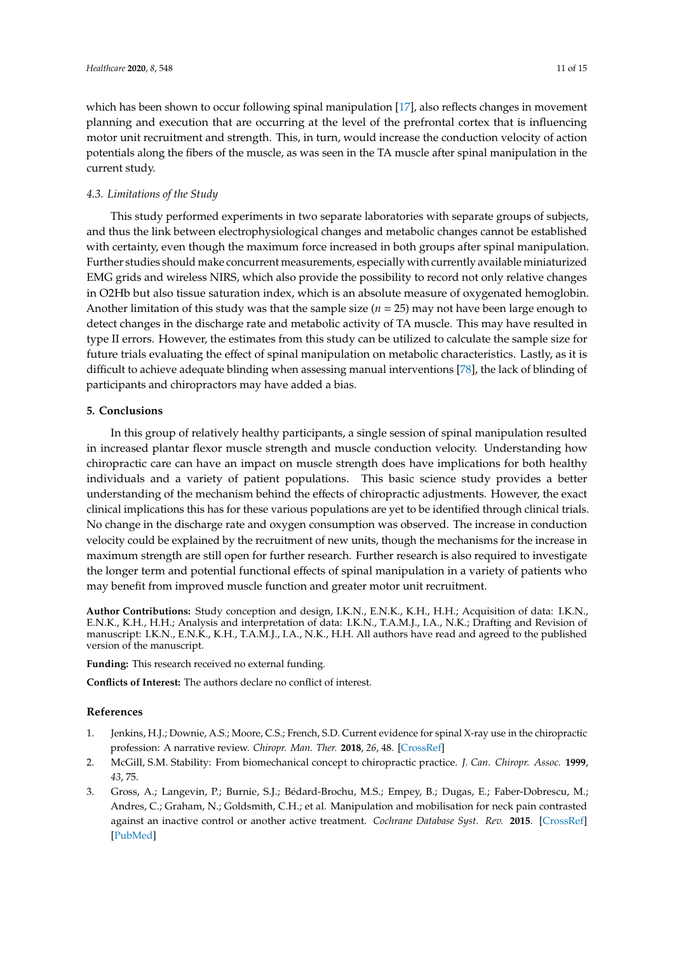which has been shown to occur following spinal manipulation [\[17\]](#page-11-13), also reflects changes in movement planning and execution that are occurring at the level of the prefrontal cortex that is influencing motor unit recruitment and strength. This, in turn, would increase the conduction velocity of action potentials along the fibers of the muscle, as was seen in the TA muscle after spinal manipulation in the current study.

# *4.3. Limitations of the Study*

This study performed experiments in two separate laboratories with separate groups of subjects, and thus the link between electrophysiological changes and metabolic changes cannot be established with certainty, even though the maximum force increased in both groups after spinal manipulation. Further studies should make concurrent measurements, especially with currently available miniaturized EMG grids and wireless NIRS, which also provide the possibility to record not only relative changes in O2Hb but also tissue saturation index, which is an absolute measure of oxygenated hemoglobin. Another limitation of this study was that the sample size (*n* = 25) may not have been large enough to detect changes in the discharge rate and metabolic activity of TA muscle. This may have resulted in type II errors. However, the estimates from this study can be utilized to calculate the sample size for future trials evaluating the effect of spinal manipulation on metabolic characteristics. Lastly, as it is difficult to achieve adequate blinding when assessing manual interventions [\[78\]](#page-14-10), the lack of blinding of participants and chiropractors may have added a bias.

# **5. Conclusions**

In this group of relatively healthy participants, a single session of spinal manipulation resulted in increased plantar flexor muscle strength and muscle conduction velocity. Understanding how chiropractic care can have an impact on muscle strength does have implications for both healthy individuals and a variety of patient populations. This basic science study provides a better understanding of the mechanism behind the effects of chiropractic adjustments. However, the exact clinical implications this has for these various populations are yet to be identified through clinical trials. No change in the discharge rate and oxygen consumption was observed. The increase in conduction velocity could be explained by the recruitment of new units, though the mechanisms for the increase in maximum strength are still open for further research. Further research is also required to investigate the longer term and potential functional effects of spinal manipulation in a variety of patients who may benefit from improved muscle function and greater motor unit recruitment.

**Author Contributions:** Study conception and design, I.K.N., E.N.K., K.H., H.H.; Acquisition of data: I.K.N., E.N.K., K.H., H.H.; Analysis and interpretation of data: I.K.N., T.A.M.J., I.A., N.K.; Drafting and Revision of manuscript: I.K.N., E.N.K., K.H., T.A.M.J., I.A., N.K., H.H. All authors have read and agreed to the published version of the manuscript.

**Funding:** This research received no external funding.

**Conflicts of Interest:** The authors declare no conflict of interest.

# **References**

- <span id="page-10-0"></span>1. Jenkins, H.J.; Downie, A.S.; Moore, C.S.; French, S.D. Current evidence for spinal X-ray use in the chiropractic profession: A narrative review. *Chiropr. Man. Ther.* **2018**, *26*, 48. [\[CrossRef\]](http://dx.doi.org/10.1186/s12998-018-0217-8)
- <span id="page-10-1"></span>2. McGill, S.M. Stability: From biomechanical concept to chiropractic practice. *J. Can. Chiropr. Assoc.* **1999**, *43*, 75.
- <span id="page-10-2"></span>3. Gross, A.; Langevin, P.; Burnie, S.J.; Bédard-Brochu, M.S.; Empey, B.; Dugas, E.; Faber-Dobrescu, M.; Andres, C.; Graham, N.; Goldsmith, C.H.; et al. Manipulation and mobilisation for neck pain contrasted against an inactive control or another active treatment. *Cochrane Database Syst. Rev.* **2015**. [\[CrossRef\]](http://dx.doi.org/10.1002/14651858.CD004249.pub4) [\[PubMed\]](http://www.ncbi.nlm.nih.gov/pubmed/26397370)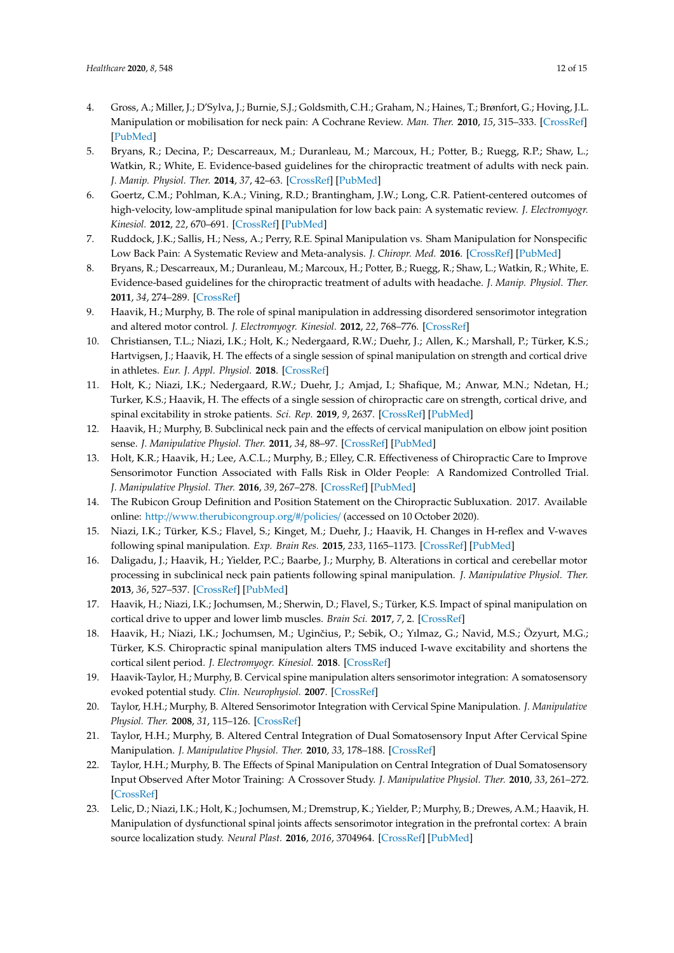- 4. Gross, A.; Miller, J.; D'Sylva, J.; Burnie, S.J.; Goldsmith, C.H.; Graham, N.; Haines, T.; Brønfort, G.; Hoving, J.L. Manipulation or mobilisation for neck pain: A Cochrane Review. *Man. Ther.* **2010**, *15*, 315–333. [\[CrossRef\]](http://dx.doi.org/10.1016/j.math.2010.04.002) [\[PubMed\]](http://www.ncbi.nlm.nih.gov/pubmed/20510644)
- <span id="page-11-0"></span>5. Bryans, R.; Decina, P.; Descarreaux, M.; Duranleau, M.; Marcoux, H.; Potter, B.; Ruegg, R.P.; Shaw, L.; Watkin, R.; White, E. Evidence-based guidelines for the chiropractic treatment of adults with neck pain. *J. Manip. Physiol. Ther.* **2014**, *37*, 42–63. [\[CrossRef\]](http://dx.doi.org/10.1016/j.jmpt.2013.08.010) [\[PubMed\]](http://www.ncbi.nlm.nih.gov/pubmed/24262386)
- <span id="page-11-1"></span>6. Goertz, C.M.; Pohlman, K.A.; Vining, R.D.; Brantingham, J.W.; Long, C.R. Patient-centered outcomes of high-velocity, low-amplitude spinal manipulation for low back pain: A systematic review. *J. Electromyogr. Kinesiol.* **2012**, *22*, 670–691. [\[CrossRef\]](http://dx.doi.org/10.1016/j.jelekin.2012.03.006) [\[PubMed\]](http://www.ncbi.nlm.nih.gov/pubmed/22534288)
- <span id="page-11-2"></span>7. Ruddock, J.K.; Sallis, H.; Ness, A.; Perry, R.E. Spinal Manipulation vs. Sham Manipulation for Nonspecific Low Back Pain: A Systematic Review and Meta-analysis. *J. Chiropr. Med.* **2016**. [\[CrossRef\]](http://dx.doi.org/10.1016/j.jcm.2016.04.014) [\[PubMed\]](http://www.ncbi.nlm.nih.gov/pubmed/27660593)
- <span id="page-11-3"></span>8. Bryans, R.; Descarreaux, M.; Duranleau, M.; Marcoux, H.; Potter, B.; Ruegg, R.; Shaw, L.; Watkin, R.; White, E. Evidence-based guidelines for the chiropractic treatment of adults with headache. *J. Manip. Physiol. Ther.* **2011**, *34*, 274–289. [\[CrossRef\]](http://dx.doi.org/10.1016/j.jmpt.2011.04.008)
- <span id="page-11-4"></span>9. Haavik, H.; Murphy, B. The role of spinal manipulation in addressing disordered sensorimotor integration and altered motor control. *J. Electromyogr. Kinesiol.* **2012**, *22*, 768–776. [\[CrossRef\]](http://dx.doi.org/10.1016/j.jelekin.2012.02.012)
- <span id="page-11-14"></span>10. Christiansen, T.L.; Niazi, I.K.; Holt, K.; Nedergaard, R.W.; Duehr, J.; Allen, K.; Marshall, P.; Türker, K.S.; Hartvigsen, J.; Haavik, H. The effects of a single session of spinal manipulation on strength and cortical drive in athletes. *Eur. J. Appl. Physiol.* **2018**. [\[CrossRef\]](http://dx.doi.org/10.1007/s00421-018-3799-x)
- <span id="page-11-15"></span>11. Holt, K.; Niazi, I.K.; Nedergaard, R.W.; Duehr, J.; Amjad, I.; Shafique, M.; Anwar, M.N.; Ndetan, H.; Turker, K.S.; Haavik, H. The effects of a single session of chiropractic care on strength, cortical drive, and spinal excitability in stroke patients. *Sci. Rep.* **2019**, *9*, 2637. [\[CrossRef\]](http://dx.doi.org/10.1038/s41598-019-39577-5) [\[PubMed\]](http://www.ncbi.nlm.nih.gov/pubmed/30804399)
- <span id="page-11-11"></span>12. Haavik, H.; Murphy, B. Subclinical neck pain and the effects of cervical manipulation on elbow joint position sense. *J. Manipulative Physiol. Ther.* **2011**, *34*, 88–97. [\[CrossRef\]](http://dx.doi.org/10.1016/j.jmpt.2010.12.009) [\[PubMed\]](http://www.ncbi.nlm.nih.gov/pubmed/21334540)
- <span id="page-11-5"></span>13. Holt, K.R.; Haavik, H.; Lee, A.C.L.; Murphy, B.; Elley, C.R. Effectiveness of Chiropractic Care to Improve Sensorimotor Function Associated with Falls Risk in Older People: A Randomized Controlled Trial. *J. Manipulative Physiol. Ther.* **2016**, *39*, 267–278. [\[CrossRef\]](http://dx.doi.org/10.1016/j.jmpt.2016.02.003) [\[PubMed\]](http://www.ncbi.nlm.nih.gov/pubmed/27050038)
- <span id="page-11-6"></span>14. The Rubicon Group Definition and Position Statement on the Chiropractic Subluxation. 2017. Available online: http://[www.therubicongroup.org](http://www.therubicongroup.org/#/policies/)/#/policies/ (accessed on 10 October 2020).
- <span id="page-11-7"></span>15. Niazi, I.K.; Türker, K.S.; Flavel, S.; Kinget, M.; Duehr, J.; Haavik, H. Changes in H-reflex and V-waves following spinal manipulation. *Exp. Brain Res.* **2015**, *233*, 1165–1173. [\[CrossRef\]](http://dx.doi.org/10.1007/s00221-014-4193-5) [\[PubMed\]](http://www.ncbi.nlm.nih.gov/pubmed/25579661)
- 16. Daligadu, J.; Haavik, H.; Yielder, P.C.; Baarbe, J.; Murphy, B. Alterations in cortical and cerebellar motor processing in subclinical neck pain patients following spinal manipulation. *J. Manipulative Physiol. Ther.* **2013**, *36*, 527–537. [\[CrossRef\]](http://dx.doi.org/10.1016/j.jmpt.2013.08.003) [\[PubMed\]](http://www.ncbi.nlm.nih.gov/pubmed/24035521)
- <span id="page-11-13"></span>17. Haavik, H.; Niazi, I.K.; Jochumsen, M.; Sherwin, D.; Flavel, S.; Türker, K.S. Impact of spinal manipulation on cortical drive to upper and lower limb muscles. *Brain Sci.* **2017**, *7*, 2. [\[CrossRef\]](http://dx.doi.org/10.3390/brainsci7010002)
- <span id="page-11-16"></span>18. Haavik, H.; Niazi, I.K.; Jochumsen, M.; Uginčius, P.; Sebik, O.; Yılmaz, G.; Navid, M.S.; Özyurt, M.G.; Türker, K.S. Chiropractic spinal manipulation alters TMS induced I-wave excitability and shortens the cortical silent period. *J. Electromyogr. Kinesiol.* **2018**. [\[CrossRef\]](http://dx.doi.org/10.1016/j.jelekin.2018.06.010)
- 19. Haavik-Taylor, H.; Murphy, B. Cervical spine manipulation alters sensorimotor integration: A somatosensory evoked potential study. *Clin. Neurophysiol.* **2007**. [\[CrossRef\]](http://dx.doi.org/10.1016/j.clinph.2006.09.014)
- <span id="page-11-12"></span>20. Taylor, H.H.; Murphy, B. Altered Sensorimotor Integration with Cervical Spine Manipulation. *J. Manipulative Physiol. Ther.* **2008**, *31*, 115–126. [\[CrossRef\]](http://dx.doi.org/10.1016/j.jmpt.2007.12.011)
- <span id="page-11-8"></span>21. Taylor, H.H.; Murphy, B. Altered Central Integration of Dual Somatosensory Input After Cervical Spine Manipulation. *J. Manipulative Physiol. Ther.* **2010**, *33*, 178–188. [\[CrossRef\]](http://dx.doi.org/10.1016/j.jmpt.2010.01.005)
- <span id="page-11-9"></span>22. Taylor, H.H.; Murphy, B. The Effects of Spinal Manipulation on Central Integration of Dual Somatosensory Input Observed After Motor Training: A Crossover Study. *J. Manipulative Physiol. Ther.* **2010**, *33*, 261–272. [\[CrossRef\]](http://dx.doi.org/10.1016/j.jmpt.2010.03.004)
- <span id="page-11-10"></span>23. Lelic, D.; Niazi, I.K.; Holt, K.; Jochumsen, M.; Dremstrup, K.; Yielder, P.; Murphy, B.; Drewes, A.M.; Haavik, H. Manipulation of dysfunctional spinal joints affects sensorimotor integration in the prefrontal cortex: A brain source localization study. *Neural Plast.* **2016**, *2016*, 3704964. [\[CrossRef\]](http://dx.doi.org/10.1155/2016/3704964) [\[PubMed\]](http://www.ncbi.nlm.nih.gov/pubmed/27047694)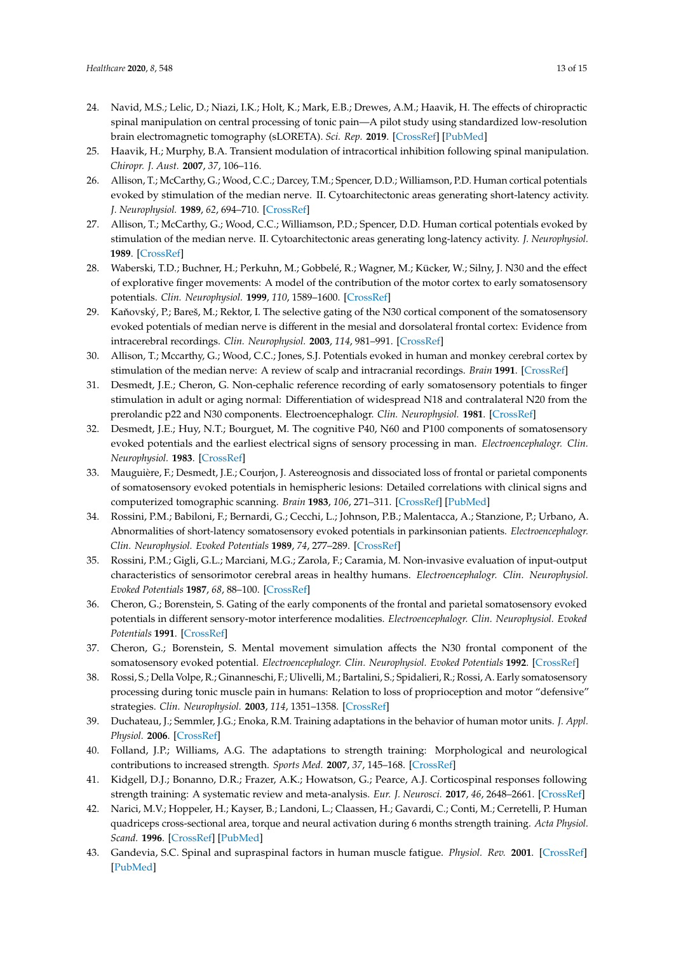- <span id="page-12-0"></span>24. Navid, M.S.; Lelic, D.; Niazi, I.K.; Holt, K.; Mark, E.B.; Drewes, A.M.; Haavik, H. The effects of chiropractic spinal manipulation on central processing of tonic pain—A pilot study using standardized low-resolution brain electromagnetic tomography (sLORETA). *Sci. Rep.* **2019**. [\[CrossRef\]](http://dx.doi.org/10.1038/s41598-019-42984-3) [\[PubMed\]](http://www.ncbi.nlm.nih.gov/pubmed/31061511)
- <span id="page-12-1"></span>25. Haavik, H.; Murphy, B.A. Transient modulation of intracortical inhibition following spinal manipulation. *Chiropr. J. Aust.* **2007**, *37*, 106–116.
- <span id="page-12-2"></span>26. Allison, T.; McCarthy, G.; Wood, C.C.; Darcey, T.M.; Spencer, D.D.; Williamson, P.D. Human cortical potentials evoked by stimulation of the median nerve. II. Cytoarchitectonic areas generating short-latency activity. *J. Neurophysiol.* **1989**, *62*, 694–710. [\[CrossRef\]](http://dx.doi.org/10.1152/jn.1989.62.3.694)
- 27. Allison, T.; McCarthy, G.; Wood, C.C.; Williamson, P.D.; Spencer, D.D. Human cortical potentials evoked by stimulation of the median nerve. II. Cytoarchitectonic areas generating long-latency activity. *J. Neurophysiol.* **1989**. [\[CrossRef\]](http://dx.doi.org/10.1152/jn.1989.62.3.711)
- 28. Waberski, T.D.; Buchner, H.; Perkuhn, M.; Gobbelé, R.; Wagner, M.; Kücker, W.; Silny, J. N30 and the effect of explorative finger movements: A model of the contribution of the motor cortex to early somatosensory potentials. *Clin. Neurophysiol.* **1999**, *110*, 1589–1600. [\[CrossRef\]](http://dx.doi.org/10.1016/S1388-2457(99)00092-9)
- 29. Kaňovský, P.; Bareš, M.; Rektor, I. The selective gating of the N30 cortical component of the somatosensory evoked potentials of median nerve is different in the mesial and dorsolateral frontal cortex: Evidence from intracerebral recordings. *Clin. Neurophysiol.* **2003**, *114*, 981–991. [\[CrossRef\]](http://dx.doi.org/10.1016/S1388-2457(03)00068-3)
- 30. Allison, T.; Mccarthy, G.; Wood, C.C.; Jones, S.J. Potentials evoked in human and monkey cerebral cortex by stimulation of the median nerve: A review of scalp and intracranial recordings. *Brain* **1991**. [\[CrossRef\]](http://dx.doi.org/10.1093/brain/114.6.2465)
- 31. Desmedt, J.E.; Cheron, G. Non-cephalic reference recording of early somatosensory potentials to finger stimulation in adult or aging normal: Differentiation of widespread N18 and contralateral N20 from the prerolandic p22 and N30 components. Electroencephalogr. *Clin. Neurophysiol.* **1981**. [\[CrossRef\]](http://dx.doi.org/10.1016/0013-4694(81)91430-9)
- 32. Desmedt, J.E.; Huy, N.T.; Bourguet, M. The cognitive P40, N60 and P100 components of somatosensory evoked potentials and the earliest electrical signs of sensory processing in man. *Electroencephalogr. Clin. Neurophysiol.* **1983**. [\[CrossRef\]](http://dx.doi.org/10.1016/0013-4694(83)90252-3)
- 33. Mauguière, F.; Desmedt, J.E.; Courjon, J. Astereognosis and dissociated loss of frontal or parietal components of somatosensory evoked potentials in hemispheric lesions: Detailed correlations with clinical signs and computerized tomographic scanning. *Brain* **1983**, *106*, 271–311. [\[CrossRef\]](http://dx.doi.org/10.1093/brain/106.2.271) [\[PubMed\]](http://www.ncbi.nlm.nih.gov/pubmed/6850271)
- 34. Rossini, P.M.; Babiloni, F.; Bernardi, G.; Cecchi, L.; Johnson, P.B.; Malentacca, A.; Stanzione, P.; Urbano, A. Abnormalities of short-latency somatosensory evoked potentials in parkinsonian patients. *Electroencephalogr. Clin. Neurophysiol. Evoked Potentials* **1989**, *74*, 277–289. [\[CrossRef\]](http://dx.doi.org/10.1016/0168-5597(89)90058-0)
- 35. Rossini, P.M.; Gigli, G.L.; Marciani, M.G.; Zarola, F.; Caramia, M. Non-invasive evaluation of input-output characteristics of sensorimotor cerebral areas in healthy humans. *Electroencephalogr. Clin. Neurophysiol. Evoked Potentials* **1987**, *68*, 88–100. [\[CrossRef\]](http://dx.doi.org/10.1016/0168-5597(87)90036-0)
- 36. Cheron, G.; Borenstein, S. Gating of the early components of the frontal and parietal somatosensory evoked potentials in different sensory-motor interference modalities. *Electroencephalogr. Clin. Neurophysiol. Evoked Potentials* **1991**. [\[CrossRef\]](http://dx.doi.org/10.1016/0168-5597(91)90134-J)
- <span id="page-12-3"></span>37. Cheron, G.; Borenstein, S. Mental movement simulation affects the N30 frontal component of the somatosensory evoked potential. *Electroencephalogr. Clin. Neurophysiol. Evoked Potentials* 1992. [\[CrossRef\]](http://dx.doi.org/10.1016/0168-5597(92)90010-9)
- <span id="page-12-4"></span>38. Rossi, S.; Della Volpe, R.; Ginanneschi, F.; Ulivelli, M.; Bartalini, S.; Spidalieri, R.; Rossi, A. Early somatosensory processing during tonic muscle pain in humans: Relation to loss of proprioception and motor "defensive" strategies. *Clin. Neurophysiol.* **2003**, *114*, 1351–1358. [\[CrossRef\]](http://dx.doi.org/10.1016/S1388-2457(03)00073-7)
- <span id="page-12-5"></span>39. Duchateau, J.; Semmler, J.G.; Enoka, R.M. Training adaptations in the behavior of human motor units. *J. Appl. Physiol.* **2006**. [\[CrossRef\]](http://dx.doi.org/10.1152/japplphysiol.00543.2006)
- 40. Folland, J.P.; Williams, A.G. The adaptations to strength training: Morphological and neurological contributions to increased strength. *Sports Med.* **2007**, *37*, 145–168. [\[CrossRef\]](http://dx.doi.org/10.2165/00007256-200737020-00004)
- 41. Kidgell, D.J.; Bonanno, D.R.; Frazer, A.K.; Howatson, G.; Pearce, A.J. Corticospinal responses following strength training: A systematic review and meta-analysis. *Eur. J. Neurosci.* **2017**, *46*, 2648–2661. [\[CrossRef\]](http://dx.doi.org/10.1111/ejn.13710)
- <span id="page-12-6"></span>42. Narici, M.V.; Hoppeler, H.; Kayser, B.; Landoni, L.; Claassen, H.; Gavardi, C.; Conti, M.; Cerretelli, P. Human quadriceps cross-sectional area, torque and neural activation during 6 months strength training. *Acta Physiol. Scand.* **1996**. [\[CrossRef\]](http://dx.doi.org/10.1046/j.1365-201X.1996.483230000.x) [\[PubMed\]](http://www.ncbi.nlm.nih.gov/pubmed/8800357)
- <span id="page-12-7"></span>43. Gandevia, S.C. Spinal and supraspinal factors in human muscle fatigue. *Physiol. Rev.* **2001**. [\[CrossRef\]](http://dx.doi.org/10.1152/physrev.2001.81.4.1725) [\[PubMed\]](http://www.ncbi.nlm.nih.gov/pubmed/11581501)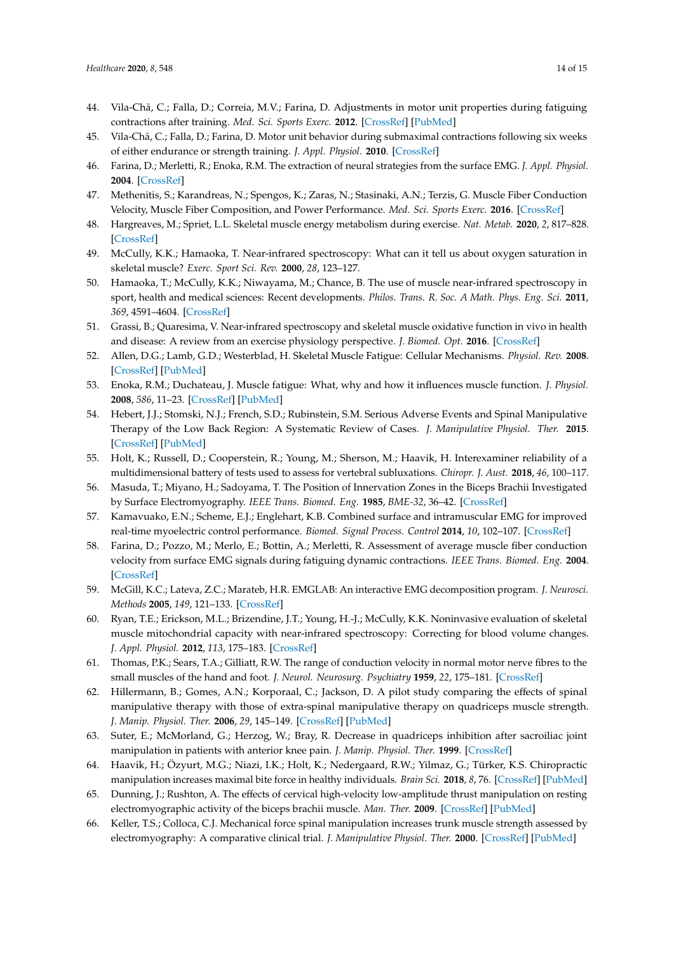- <span id="page-13-0"></span>44. Vila-Chã, C.; Falla, D.; Correia, M.V.; Farina, D. Adjustments in motor unit properties during fatiguing contractions after training. *Med. Sci. Sports Exerc.* **2012**. [\[CrossRef\]](http://dx.doi.org/10.1249/MSS.0b013e318235d81d) [\[PubMed\]](http://www.ncbi.nlm.nih.gov/pubmed/21904248)
- <span id="page-13-1"></span>45. Vila-Chã, C.; Falla, D.; Farina, D. Motor unit behavior during submaximal contractions following six weeks of either endurance or strength training. *J. Appl. Physiol.* **2010**. [\[CrossRef\]](http://dx.doi.org/10.1152/japplphysiol.01213.2009)
- <span id="page-13-2"></span>46. Farina, D.; Merletti, R.; Enoka, R.M. The extraction of neural strategies from the surface EMG. *J. Appl. Physiol.* **2004**. [\[CrossRef\]](http://dx.doi.org/10.1152/japplphysiol.01070.2003)
- <span id="page-13-3"></span>47. Methenitis, S.; Karandreas, N.; Spengos, K.; Zaras, N.; Stasinaki, A.N.; Terzis, G. Muscle Fiber Conduction Velocity, Muscle Fiber Composition, and Power Performance. *Med. Sci. Sports Exerc.* **2016**. [\[CrossRef\]](http://dx.doi.org/10.1249/MSS.0000000000000954)
- <span id="page-13-4"></span>48. Hargreaves, M.; Spriet, L.L. Skeletal muscle energy metabolism during exercise. *Nat. Metab.* **2020**, *2*, 817–828. [\[CrossRef\]](http://dx.doi.org/10.1038/s42255-020-0251-4)
- <span id="page-13-5"></span>49. McCully, K.K.; Hamaoka, T. Near-infrared spectroscopy: What can it tell us about oxygen saturation in skeletal muscle? *Exerc. Sport Sci. Rev.* **2000**, *28*, 123–127.
- 50. Hamaoka, T.; McCully, K.K.; Niwayama, M.; Chance, B. The use of muscle near-infrared spectroscopy in sport, health and medical sciences: Recent developments. *Philos. Trans. R. Soc. A Math. Phys. Eng. Sci.* **2011**, *369*, 4591–4604. [\[CrossRef\]](http://dx.doi.org/10.1098/rsta.2011.0298)
- <span id="page-13-6"></span>51. Grassi, B.; Quaresima, V. Near-infrared spectroscopy and skeletal muscle oxidative function in vivo in health and disease: A review from an exercise physiology perspective. *J. Biomed. Opt.* **2016**. [\[CrossRef\]](http://dx.doi.org/10.1117/1.JBO.21.9.091313)
- <span id="page-13-7"></span>52. Allen, D.G.; Lamb, G.D.; Westerblad, H. Skeletal Muscle Fatigue: Cellular Mechanisms. *Physiol. Rev.* **2008**. [\[CrossRef\]](http://dx.doi.org/10.1152/physrev.00015.2007) [\[PubMed\]](http://www.ncbi.nlm.nih.gov/pubmed/18195089)
- <span id="page-13-8"></span>53. Enoka, R.M.; Duchateau, J. Muscle fatigue: What, why and how it influences muscle function. *J. Physiol.* **2008**, *586*, 11–23. [\[CrossRef\]](http://dx.doi.org/10.1113/jphysiol.2007.139477) [\[PubMed\]](http://www.ncbi.nlm.nih.gov/pubmed/17702815)
- <span id="page-13-9"></span>54. Hebert, J.J.; Stomski, N.J.; French, S.D.; Rubinstein, S.M. Serious Adverse Events and Spinal Manipulative Therapy of the Low Back Region: A Systematic Review of Cases. *J. Manipulative Physiol. Ther.* **2015**. [\[CrossRef\]](http://dx.doi.org/10.1016/j.jmpt.2013.05.009) [\[PubMed\]](http://www.ncbi.nlm.nih.gov/pubmed/23787298)
- <span id="page-13-10"></span>55. Holt, K.; Russell, D.; Cooperstein, R.; Young, M.; Sherson, M.; Haavik, H. Interexaminer reliability of a multidimensional battery of tests used to assess for vertebral subluxations. *Chiropr. J. Aust.* **2018**, *46*, 100–117.
- <span id="page-13-11"></span>56. Masuda, T.; Miyano, H.; Sadoyama, T. The Position of Innervation Zones in the Biceps Brachii Investigated by Surface Electromyography. *IEEE Trans. Biomed. Eng.* **1985**, *BME-32*, 36–42. [\[CrossRef\]](http://dx.doi.org/10.1109/TBME.1985.325614)
- <span id="page-13-12"></span>57. Kamavuako, E.N.; Scheme, E.J.; Englehart, K.B. Combined surface and intramuscular EMG for improved real-time myoelectric control performance. *Biomed. Signal Process. Control* **2014**, *10*, 102–107. [\[CrossRef\]](http://dx.doi.org/10.1016/j.bspc.2014.01.007)
- <span id="page-13-13"></span>58. Farina, D.; Pozzo, M.; Merlo, E.; Bottin, A.; Merletti, R. Assessment of average muscle fiber conduction velocity from surface EMG signals during fatiguing dynamic contractions. *IEEE Trans. Biomed. Eng.* **2004**. [\[CrossRef\]](http://dx.doi.org/10.1109/TBME.2004.827556)
- <span id="page-13-14"></span>59. McGill, K.C.; Lateva, Z.C.; Marateb, H.R. EMGLAB: An interactive EMG decomposition program. *J. Neurosci. Methods* **2005**, *149*, 121–133. [\[CrossRef\]](http://dx.doi.org/10.1016/j.jneumeth.2005.05.015)
- <span id="page-13-15"></span>60. Ryan, T.E.; Erickson, M.L.; Brizendine, J.T.; Young, H.-J.; McCully, K.K. Noninvasive evaluation of skeletal muscle mitochondrial capacity with near-infrared spectroscopy: Correcting for blood volume changes. *J. Appl. Physiol.* **2012**, *113*, 175–183. [\[CrossRef\]](http://dx.doi.org/10.1152/japplphysiol.00319.2012)
- <span id="page-13-16"></span>61. Thomas, P.K.; Sears, T.A.; Gilliatt, R.W. The range of conduction velocity in normal motor nerve fibres to the small muscles of the hand and foot. *J. Neurol. Neurosurg. Psychiatry* **1959**, *22*, 175–181. [\[CrossRef\]](http://dx.doi.org/10.1136/jnnp.22.3.175)
- <span id="page-13-17"></span>62. Hillermann, B.; Gomes, A.N.; Korporaal, C.; Jackson, D. A pilot study comparing the effects of spinal manipulative therapy with those of extra-spinal manipulative therapy on quadriceps muscle strength. *J. Manip. Physiol. Ther.* **2006**, *29*, 145–149. [\[CrossRef\]](http://dx.doi.org/10.1016/j.jmpt.2005.12.003) [\[PubMed\]](http://www.ncbi.nlm.nih.gov/pubmed/16461174)
- <span id="page-13-18"></span>63. Suter, E.; McMorland, G.; Herzog, W.; Bray, R. Decrease in quadriceps inhibition after sacroiliac joint manipulation in patients with anterior knee pain. *J. Manip. Physiol. Ther.* **1999**. [\[CrossRef\]](http://dx.doi.org/10.1016/S0161-4754(99)70128-4)
- <span id="page-13-19"></span>64. Haavik, H.; Özyurt, M.G.; Niazi, I.K.; Holt, K.; Nedergaard, R.W.; Yilmaz, G.; Türker, K.S. Chiropractic manipulation increases maximal bite force in healthy individuals. *Brain Sci.* **2018**, *8*, 76. [\[CrossRef\]](http://dx.doi.org/10.3390/brainsci8050076) [\[PubMed\]](http://www.ncbi.nlm.nih.gov/pubmed/29702550)
- 65. Dunning, J.; Rushton, A. The effects of cervical high-velocity low-amplitude thrust manipulation on resting electromyographic activity of the biceps brachii muscle. *Man. Ther.* **2009**. [\[CrossRef\]](http://dx.doi.org/10.1016/j.math.2008.09.003) [\[PubMed\]](http://www.ncbi.nlm.nih.gov/pubmed/19027344)
- 66. Keller, T.S.; Colloca, C.J. Mechanical force spinal manipulation increases trunk muscle strength assessed by electromyography: A comparative clinical trial. *J. Manipulative Physiol. Ther.* **2000**. [\[CrossRef\]](http://dx.doi.org/10.1067/mmt.2000.110947) [\[PubMed\]](http://www.ncbi.nlm.nih.gov/pubmed/11145798)